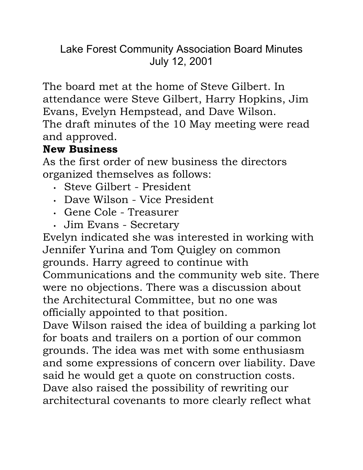## Lake Forest Community Association Board Minutes July 12, 2001

The board met at the home of Steve Gilbert. In attendance were Steve Gilbert, Harry Hopkins, Jim Evans, Evelyn Hempstead, and Dave Wilson. The draft minutes of the 10 May meeting were read and approved.

## **New Business**

As the first order of new business the directors organized themselves as follows:

- Steve Gilbert President
- Dave Wilson Vice President
- Gene Cole Treasurer
- Jim Evans Secretary

Evelyn indicated she was interested in working with Jennifer Yurina and Tom Quigley on common grounds. Harry agreed to continue with Communications and the community web site. There were no objections. There was a discussion about the Architectural Committee, but no one was officially appointed to that position.

Dave Wilson raised the idea of building a parking lot for boats and trailers on a portion of our common grounds. The idea was met with some enthusiasm and some expressions of concern over liability. Dave said he would get a quote on construction costs. Dave also raised the possibility of rewriting our architectural covenants to more clearly reflect what